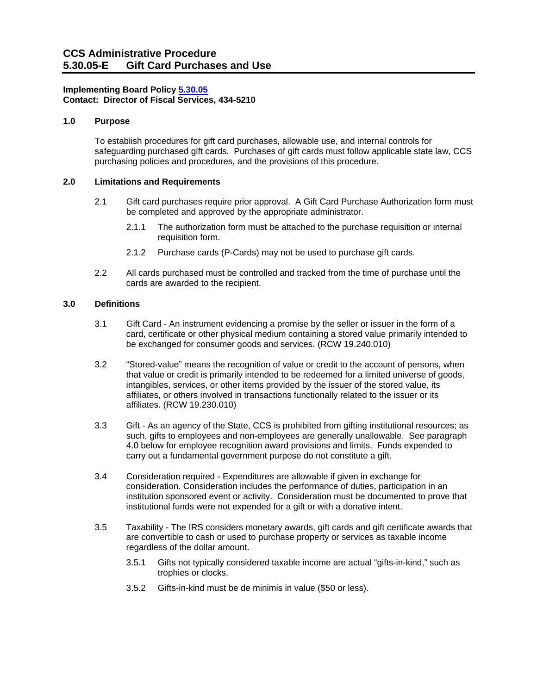# **Implementing Board Policy [5.30.05](https://ccs.spokane.edu/About-Us/Leadership/Board-of-Trustees/Policies-Procedures/Chapter5#AccWE2-11) Contact: Director of Fiscal Services, 434-5210**

# **1.0 Purpose**

To establish procedures for gift card purchases, allowable use, and internal controls for safeguarding purchased gift cards. Purchases of gift cards must follow applicable state law, CCS purchasing policies and procedures, and the provisions of this procedure.

## **2.0 Limitations and Requirements**

- 2.1 Gift card purchases require prior approval. A Gift Card Purchase Authorization form must be completed and approved by the appropriate administrator.
	- 2.1.1 The authorization form must be attached to the purchase requisition or internal requisition form.
	- 2.1.2 Purchase cards (P-Cards) may not be used to purchase gift cards.
- 2.2 All cards purchased must be controlled and tracked from the time of purchase until the cards are awarded to the recipient.

## **3.0 Definitions**

- 3.1 Gift Card An instrument evidencing a promise by the seller or issuer in the form of a card, certificate or other physical medium containing a stored value primarily intended to be exchanged for consumer goods and services. (RCW 19.240.010)
- 3.2 "Stored-value" means the recognition of value or credit to the account of persons, when that value or credit is primarily intended to be redeemed for a limited universe of goods, intangibles, services, or other items provided by the issuer of the stored value, its affiliates, or others involved in transactions functionally related to the issuer or its affiliates. (RCW 19.230.010)
- 3.3 Gift As an agency of the State, CCS is prohibited from gifting institutional resources; as such, gifts to employees and non-employees are generally unallowable. See paragraph 4.0 below for employee recognition award provisions and limits. Funds expended to carry out a fundamental government purpose do not constitute a gift.
- 3.4 Consideration required Expenditures are allowable if given in exchange for consideration. Consideration includes the performance of duties, participation in an institution sponsored event or activity. Consideration must be documented to prove that institutional funds were not expended for a gift or with a donative intent.
- 3.5 Taxability The IRS considers monetary awards, gift cards and gift certificate awards that are convertible to cash or used to purchase property or services as taxable income regardless of the dollar amount.
	- 3.5.1 Gifts not typically considered taxable income are actual "gifts-in-kind," such as trophies or clocks.
	- 3.5.2 Gifts-in-kind must be de minimis in value (\$50 or less).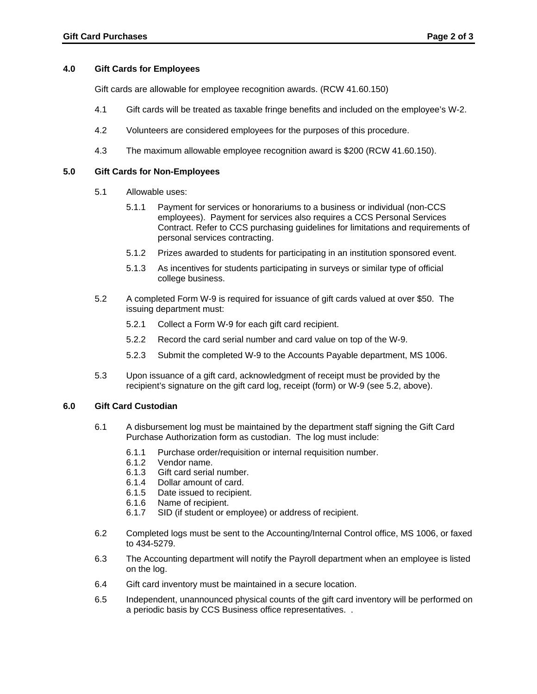### **4.0 Gift Cards for Employees**

Gift cards are allowable for employee recognition awards. (RCW 41.60.150)

- 4.1 Gift cards will be treated as taxable fringe benefits and included on the employee's W-2.
- 4.2 Volunteers are considered employees for the purposes of this procedure.
- 4.3 The maximum allowable employee recognition award is \$200 (RCW 41.60.150).

### **5.0 Gift Cards for Non-Employees**

- 5.1 Allowable uses:
	- personal services contracting. 5.1.1 Payment for services or honorariums to a business or individual (non-CCS employees). Payment for services also requires a CCS Personal Services Contract. Refer to CCS purchasing guidelines for limitations and requirements of
	- 5.1.2 Prizes awarded to students for participating in an institution sponsored event.
	- 5.1.3 As incentives for students participating in surveys or similar type of official college business.
- 5.2 A completed Form W-9 is required for issuance of gift cards valued at over \$50. The issuing department must:
	- 5.2.1 Collect a Form W-9 for each gift card recipient.
	- 5.2.2 Record the card serial number and card value on top of the W-9.
	- 5.2.3 Submit the completed W-9 to the Accounts Payable department, MS 1006.
- 5.3 Upon issuance of a gift card, acknowledgment of receipt must be provided by the recipient's signature on the gift card log, receipt (form) or W-9 (see 5.2, above).

#### **6.0 Gift Card Custodian**

- 6.1 A disbursement log must be maintained by the department staff signing the Gift Card Purchase Authorization form as custodian. The log must include:
	- 6.1.1 Purchase order/requisition or internal requisition number.
	- 6.1.2 Vendor name.
	- 6.1.3 Gift card serial number.
	- 6.1.4 Dollar amount of card.
	- 6.1.5 Date issued to recipient.
	- 6.1.6 Name of recipient.
	- 6.1.7 SID (if student or employee) or address of recipient.
- 6.2 Completed logs must be sent to the Accounting/Internal Control office, MS 1006, or faxed to 434-5279.
- 6.3 The Accounting department will notify the Payroll department when an employee is listed on the log.
- 6.4 Gift card inventory must be maintained in a secure location.
- 6.5 Independent, unannounced physical counts of the gift card inventory will be performed on a periodic basis by CCS Business office representatives. .